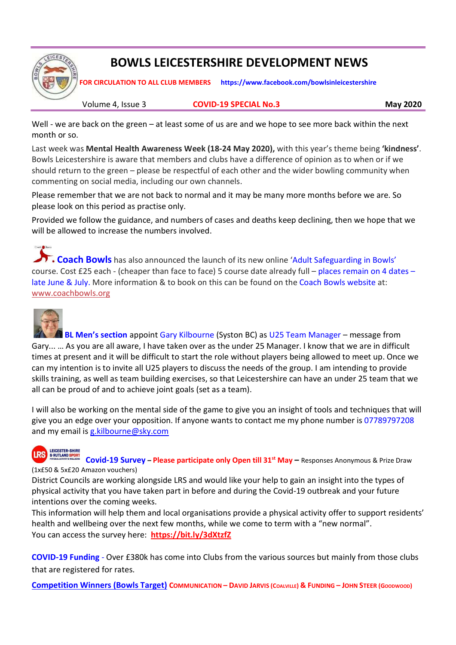

## BOWLS LEICESTERSHIRE DEVELOPMENT NEWS

FOR CIRCULATION TO ALL CLUB MEMBERS https://www.facebook.com/bowlsinleicestershire

Volume 4, Issue 3 COVID-19 SPECIAL No.3 May 2020

Well - we are back on the green – at least some of us are and we hope to see more back within the next month or so.

Last week was Mental Health Awareness Week (18-24 May 2020), with this year's theme being 'kindness'. Bowls Leicestershire is aware that members and clubs have a difference of opinion as to when or if we should return to the green – please be respectful of each other and the wider bowling community when commenting on social media, including our own channels.

Please remember that we are not back to normal and it may be many more months before we are. So please look on this period as practise only.

Provided we follow the guidance, and numbers of cases and deaths keep declining, then we hope that we will be allowed to increase the numbers involved.

**T.** Coach Bowls has also announced the launch of its new online 'Adult Safeguarding in Bowls' course. Cost £25 each - (cheaper than face to face) 5 course date already full – places remain on 4 dates – late June & July. More information & to book on this can be found on the Coach Bowls website at: www.coachbowls.org



Charlie Rows

 BL Men's section appoint Gary Kilbourne (Syston BC) as U25 Team Manager – message from Gary... … As you are all aware, I have taken over as the under 25 Manager. I know that we are in difficult times at present and it will be difficult to start the role without players being allowed to meet up. Once we can my intention is to invite all U25 players to discuss the needs of the group. I am intending to provide skills training, as well as team building exercises, so that Leicestershire can have an under 25 team that we all can be proud of and to achieve joint goals (set as a team).

I will also be working on the mental side of the game to give you an insight of tools and techniques that will give you an edge over your opposition. If anyone wants to contact me my phone number is 07789797208 and my email is g.kilbourne@sky.com

## **LEICESTER-SHIRE IRS**

ERUISIND SPONT<br>BRUISIND SPONT<br>MISCULFIND SPONT (1x£50 & 5x£20 Amazon vouchers)

District Councils are working alongside LRS and would like your help to gain an insight into the types of physical activity that you have taken part in before and during the Covid-19 outbreak and your future intentions over the coming weeks.

This information will help them and local organisations provide a physical activity offer to support residents' health and wellbeing over the next few months, while we come to term with a "new normal". You can access the survey here: https://bit.ly/3dXtzfZ

COVID-19 Funding - Over £380k has come into Clubs from the various sources but mainly from those clubs that are registered for rates.

Competition Winners (Bowls Target) COMMUNICATION – DAVID JARVIS (COALVILLE) & FUNDING – JOHN STEER (GOODWOOD)